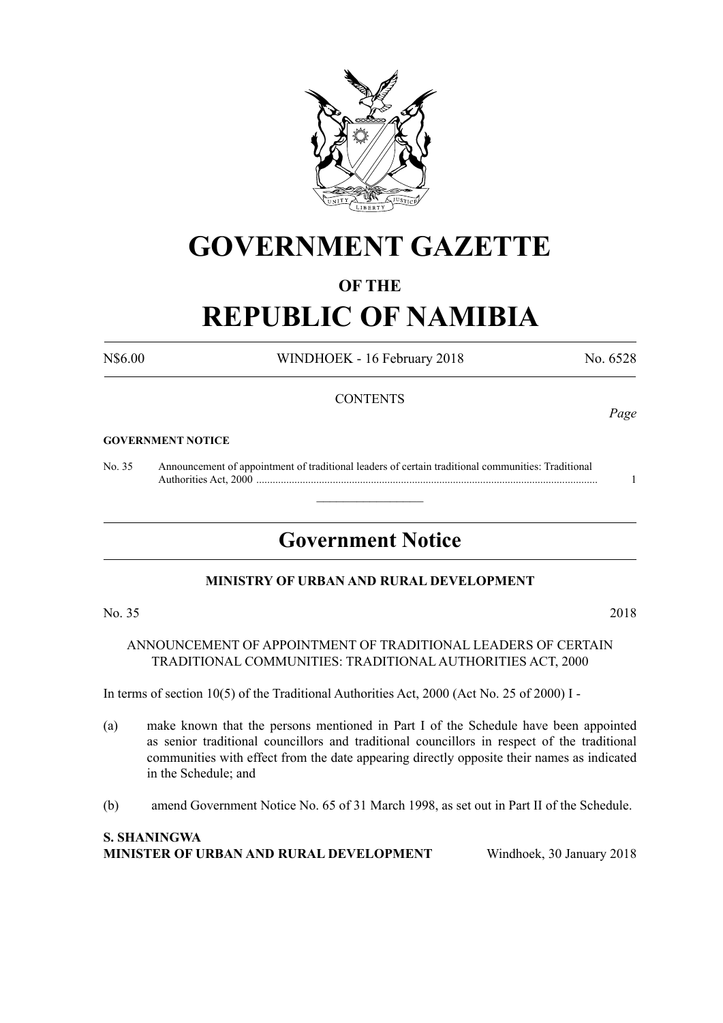

# **GOVERNMENT GAZETTE**

### **OF THE**

# **REPUBLIC OF NAMIBIA**

N\$6.00 WINDHOEK - 16 February 2018 No. 6528

#### **CONTENTS**

#### **GOVERNMENT NOTICE**

No. 35 Announcement of appointment of traditional leaders of certain traditional communities: Traditional Authorities Act, 2000 ............................................................................................................................. 1

## **Government Notice**

 $\overline{\phantom{a}}$  , where  $\overline{\phantom{a}}$ 

#### **MINISTRY OF URBAN AND RURAL DEVELOPMENT**

ANNOUNCEMENT OF APPOINTMENT OF TRADITIONAL LEADERS OF CERTAIN TRADITIONAL COMMUNITIES: TRADITIONAL AUTHORITIES ACT, 2000

In terms of section 10(5) of the Traditional Authorities Act, 2000 (Act No. 25 of 2000) I -

- (a) make known that the persons mentioned in Part I of the Schedule have been appointed as senior traditional councillors and traditional councillors in respect of the traditional communities with effect from the date appearing directly opposite their names as indicated in the Schedule; and
- (b) amend Government Notice No. 65 of 31 March 1998, as set out in Part II of the Schedule.

#### **S. Shaningwa Minister of Urban and Rural Development** Windhoek, 30 January 2018

*Page*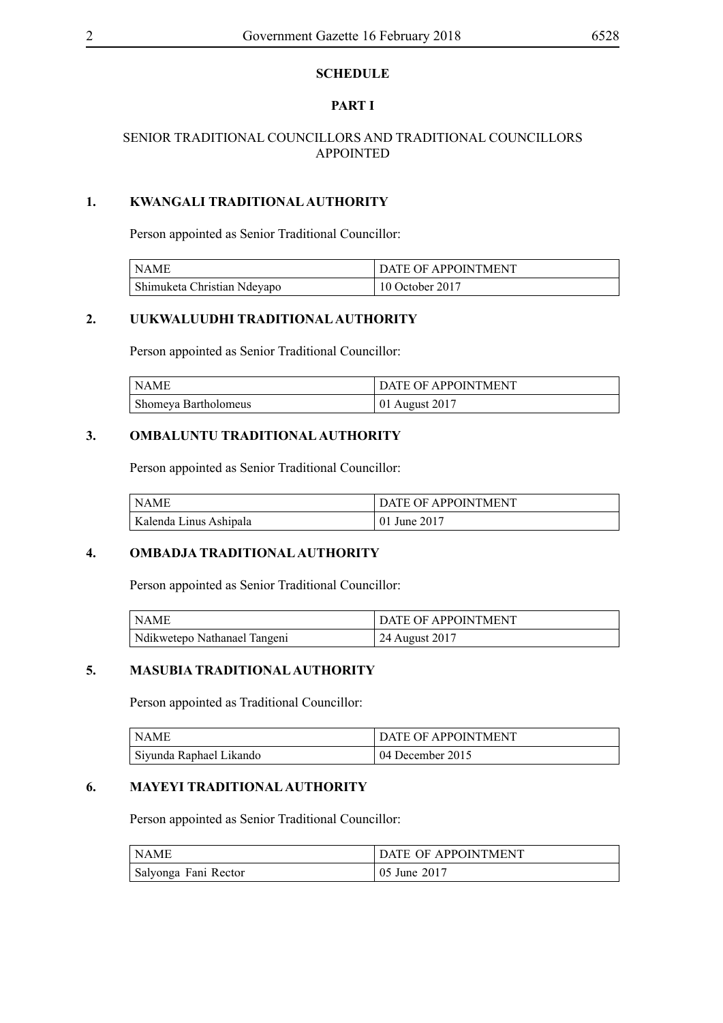#### **SCHEDULE**

#### **PART I**

#### SENIOR TRADITIONAL COUNCILLORS AND TRADITIONAL COUNCILLORS APPOINTED

#### **1. KWANGALI TRADITIONAL AUTHORITY**

Person appointed as Senior Traditional Councillor:

| NAME                        | <b>DATE OF APPOINTMENT</b> |
|-----------------------------|----------------------------|
| Shimuketa Christian Ndeyapo | 10 October 2017            |

#### **2. UUKWALUUDHI TRADITIONAL AUTHORITY**

Person appointed as Senior Traditional Councillor:

| NAME                 | <b>DATE OF APPOINTMENT</b> |
|----------------------|----------------------------|
| Shomeya Bartholomeus | 01 August 2017             |

#### **3. OMBALUNTU TRADITIONAL AUTHORITY**

Person appointed as Senior Traditional Councillor:

| l NAME                 | DATE OF APPOINTMENT |
|------------------------|---------------------|
| Kalenda Linus Ashipala | 01 June 2017        |

#### **4. OMBADJA TRADITIONAL AUTHORITY**

Person appointed as Senior Traditional Councillor:

| ' NAME                       | <b>DATE OF APPOINTMENT</b> |
|------------------------------|----------------------------|
| Ndikwetepo Nathanael Tangeni | $24$ August 2017           |

#### **5. MASUBIA TRADITIONAL AUTHORITY**

Person appointed as Traditional Councillor:

| I NAME                  | <b>DATE OF APPOINTMENT</b> |
|-------------------------|----------------------------|
| Siyunda Raphael Likando | 04 December 2015           |

#### **6. MAYEYI TRADITIONAL AUTHORITY**

Person appointed as Senior Traditional Councillor:

| l NAME               | DATE OF APPOINTMENT |
|----------------------|---------------------|
| Salyonga Fani Rector | 05 June 2017        |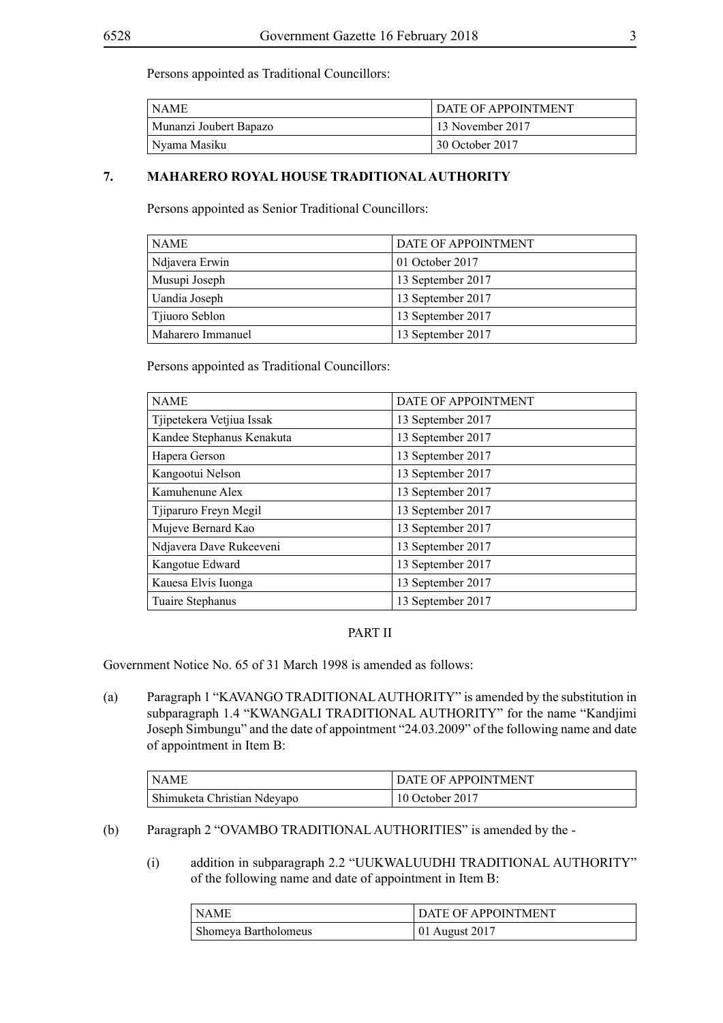Persons appointed as Traditional Councillors:

| <b>NAME</b>            | DATE OF APPOINTMENT           |
|------------------------|-------------------------------|
| Munanzi Joubert Bapazo | <sup>1</sup> 13 November 2017 |
| Nyama Masiku           | 30 October 2017               |

#### **7. MAHARERO ROYAL HOUSE TRADITIONAL AUTHORITY**

Persons appointed as Senior Traditional Councillors:

| <b>NAME</b>       | DATE OF APPOINTMENT |  |
|-------------------|---------------------|--|
| Ndjavera Erwin    | 01 October 2017     |  |
| Musupi Joseph     | 13 September 2017   |  |
| Uandia Joseph     | 13 September 2017   |  |
| Tjiuoro Seblon    | 13 September 2017   |  |
| Maharero Immanuel | 13 September 2017   |  |

Persons appointed as Traditional Councillors:

| <b>NAME</b>               | DATE OF APPOINTMENT |
|---------------------------|---------------------|
|                           |                     |
| Tjipetekera Vetjiua Issak | 13 September 2017   |
| Kandee Stephanus Kenakuta | 13 September 2017   |
| Hapera Gerson             | 13 September 2017   |
| Kangootui Nelson          | 13 September 2017   |
| Kamuhenune Alex           | 13 September 2017   |
| Tjiparuro Freyn Megil     | 13 September 2017   |
| Mujeve Bernard Kao        | 13 September 2017   |
| Ndjavera Dave Rukeeveni   | 13 September 2017   |
| Kangotue Edward           | 13 September 2017   |
| Kauesa Elvis Iuonga       | 13 September 2017   |
| Tuaire Stephanus          | 13 September 2017   |

### PART II

Government Notice No. 65 of 31 March 1998 is amended as follows:

(a) Paragraph 1 "KAVANGO TRADITIONAL AUTHORITY" is amended by the substitution in subparagraph 1.4 "KWANGALI TRADITIONAL AUTHORITY" for the name "Kandjimi Joseph Simbungu" and the date of appointment "24.03.2009" of the following name and date of appointment in Item B:

| NAME                        | <b>DATE OF APPOINTMENT</b> |
|-----------------------------|----------------------------|
| Shimuketa Christian Ndeyapo | 10 October 2017            |

- (b) Paragraph 2 "OVAMBO TRADITIONAL AUTHORITIES" is amended by the
	- (i) addition in subparagraph 2.2 "UUKWALUUDHI TRADITIONAL AUTHORITY" of the following name and date of appointment in Item B:

| l NAME               | DATE OF APPOINTMENT |
|----------------------|---------------------|
| Shomeya Bartholomeus | $101$ August 2017   |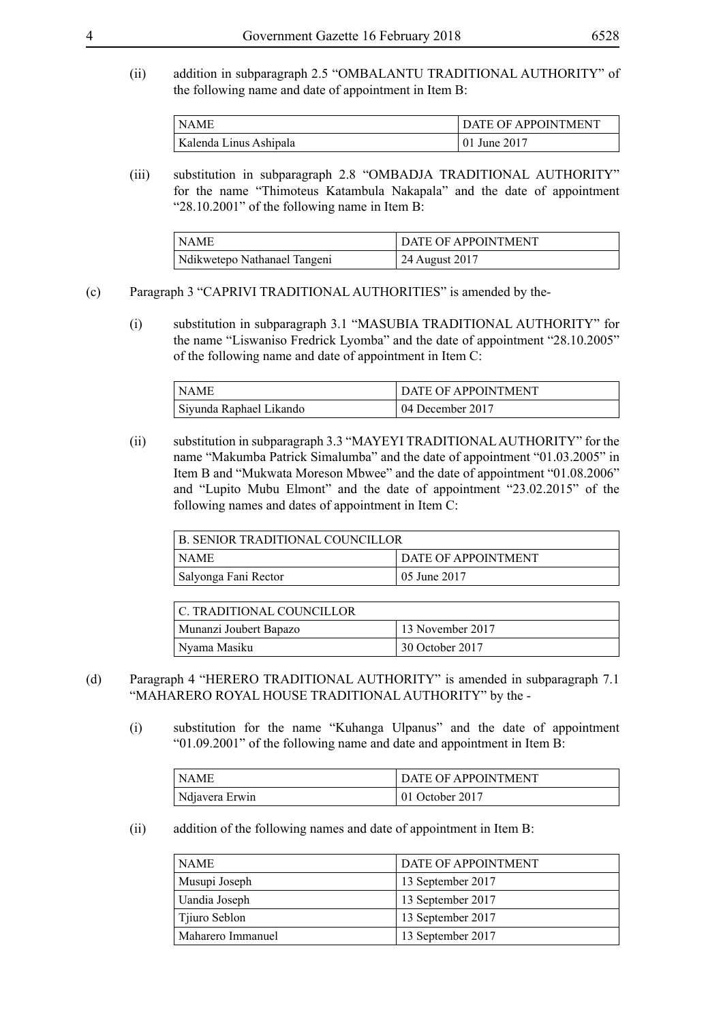(ii) addition in subparagraph 2.5 "OMBALANTU TRADITIONAL AUTHORITY" of the following name and date of appointment in Item B:

| $\overline{\phantom{a}}$ NAME | DATE OF APPOINTMENT |
|-------------------------------|---------------------|
| Kalenda Linus Ashipala        | 01 June 2017        |

(iii) substitution in subparagraph 2.8 "OMBADJA TRADITIONAL AUTHORITY" for the name "Thimoteus Katambula Nakapala" and the date of appointment "28.10.2001" of the following name in Item B:

| <b>NAME</b>                  | DATE OF APPOINTMENT |
|------------------------------|---------------------|
| Ndikwetepo Nathanael Tangeni | 24 August 2017      |

#### (c) Paragraph 3 "CAPRIVI TRADITIONAL AUTHORITIES" is amended by the-

(i) substitution in subparagraph 3.1 "MASUBIA TRADITIONAL AUTHORITY" for the name "Liswaniso Fredrick Lyomba" and the date of appointment "28.10.2005" of the following name and date of appointment in Item C:

| l NAME                  | <b>DATE OF APPOINTMENT</b> |
|-------------------------|----------------------------|
| Siyunda Raphael Likando | 04 December 2017           |

(ii) substitution in subparagraph 3.3 "MAYEYI TRADITIONAL AUTHORITY" for the name "Makumba Patrick Simalumba" and the date of appointment "01.03.2005" in Item B and "Mukwata Moreson Mbwee" and the date of appointment "01.08.2006" and "Lupito Mubu Elmont" and the date of appointment "23.02.2015" of the following names and dates of appointment in Item C:

| <b>B. SENIOR TRADITIONAL COUNCILLOR</b> |                            |
|-----------------------------------------|----------------------------|
| NAME                                    | <b>DATE OF APPOINTMENT</b> |
| Salyonga Fani Rector                    | 05 June 2017               |

| C. TRADITIONAL COUNCILLOR_ |                    |
|----------------------------|--------------------|
| Munanzi Joubert Bapazo     | $13$ November 2017 |
| Nyama Masiku               | 30 October 2017    |

- (d) Paragraph 4 "HERERO TRADITIONAL AUTHORITY" is amended in subparagraph 7.1 "MAHARERO ROYAL HOUSE TRADITIONAL AUTHORITY" by the -
	- (i) substitution for the name "Kuhanga Ulpanus" and the date of appointment "01.09.2001" of the following name and date and appointment in Item B:

| l NAME         | DATE OF APPOINTMENT |
|----------------|---------------------|
| Ndjavera Erwin | $101$ October 2017  |

(ii) addition of the following names and date of appointment in Item B:

| <b>NAME</b>       | DATE OF APPOINTMENT |
|-------------------|---------------------|
| Musupi Joseph     | 13 September 2017   |
| Uandia Joseph     | 13 September 2017   |
| Tjiuro Seblon     | 13 September 2017   |
| Maharero Immanuel | 13 September 2017   |